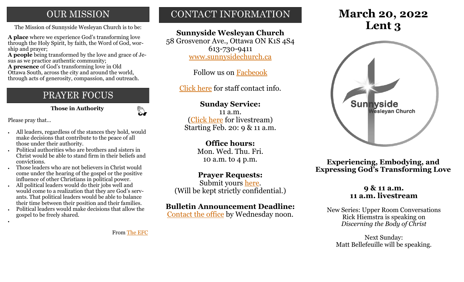# **OUR MISSION**

The Mission of Sunnyside Wesleyan Church is to be: **Lent 3** 

**A place** where we experience God's transforming love through the Holy Spirit, by faith, the Word of God, worship and prayer;

**A people** being transformed by the love and grace of Jesus as we practice authentic community;

**A presence** of God's transforming love in Old Ottawa South, across the city and around the world, through acts of generosity, compassion, and outreach.

# PRAYER FOCUS

 **Those in Authority**

 $\mathbb{C}$ 

Please pray that…

•

- All leaders, regardless of the stances they hold, would make decisions that contribute to the peace of all those under their authority.
- Political authorities who are brothers and sisters in Christ would be able to stand firm in their beliefs and convictions.
- Those leaders who are not believers in Christ would come under the hearing of the gospel or the positive influence of other Christians in political power.
- All political leaders would do their jobs well and would come to a realization that they are God's servants. That political leaders would be able to balance their time between their position and their families.
- Political leaders would make decisions that allow the gospel to be freely shared.

# CONTACT INFORMATION

# **Sunnyside Wesleyan Church**

58 Grosvenor Ave., Ottawa ON K1S 4S4 613-730-9411 [www.sunnysidechurch.ca](http://www.sunnysidechurch.ca)

Follow us on [Facbeook](http://www.facebook.com/sunnysidewesleyanchurch)

[Click here](http://www.sunnysidechurch.ca/about-sunnyside/staff/) for staff contact info.

# **Sunday Service:**

11 a.m. [\(Click here](https://youtube.com/channel/UCYfl9Qy37Az7fqqFQpDEwjg) for livestream) Starting Feb. 20: 9 & 11 a.m.

# **Office hours:**

Mon. Wed. Thu. Fri. 10 a.m. to 4 p.m.

# **Prayer Requests:**

Submit yours [here.](mailto:prayer@sunnysidechurch.ca) (Will be kept strictly confidential.)

# **Bulletin Announcement Deadline:**

[Contact the office](mailto:office@sunnysidechurch.ca) by Wednesday noon.

# **March 20, 2022**



**Experiencing, Embodying, and Expressing God's Transforming Love**

### **9 & 11 a.m. 11 a.m. livestream**

New Series: Upper Room Conversations Rick Hiemstra is speaking on *Discerning the Body of Christ* 

Next Sunday: Matt Bellefeuille will be speaking.

From [The EFC](https://www.evangelicalfellowship.ca/)